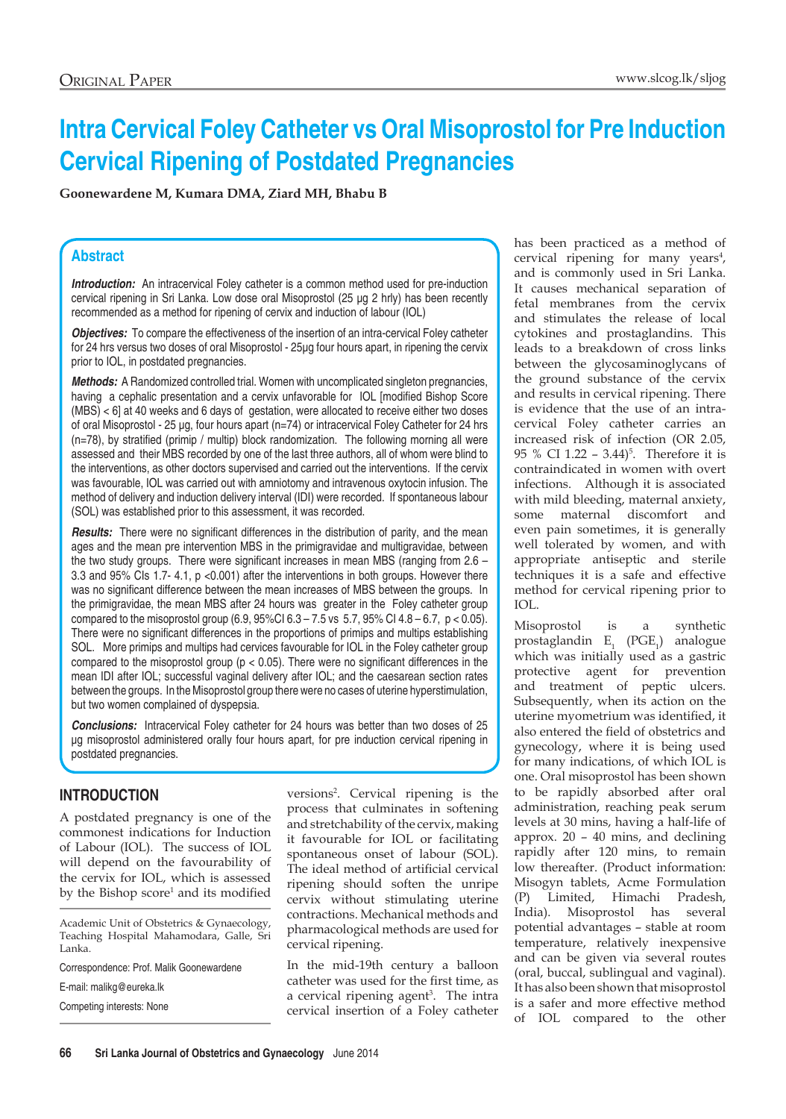# **Intra Cervical Foley Catheter vs Oral Misoprostol for Pre Induction Cervical Ripening of Postdated Pregnancies**

**Goonewardene M, Kumara DMA, Ziard MH, Bhabu B**

#### **Abstract**

*Introduction:* An intracervical Foley catheter is a common method used for pre-induction cervical ripening in Sri Lanka. Low dose oral Misoprostol (25 µg 2 hrly) has been recently recommended as a method for ripening of cervix and induction of labour (IOL)

*Objectives:* To compare the effectiveness of the insertion of an intra-cervical Foley catheter for 24 hrs versus two doses of oral Misoprostol - 25µg four hours apart, in ripening the cervix prior to IOL, in postdated pregnancies.

*Methods:* A Randomized controlled trial. Women with uncomplicated singleton pregnancies, having a cephalic presentation and a cervix unfavorable for IOL [modified Bishop Score (MBS) < 6] at 40 weeks and 6 days of gestation, were allocated to receive either two doses of oral Misoprostol - 25 µg, four hours apart (n=74) or intracervical Foley Catheter for 24 hrs (n=78), by stratified (primip / multip) block randomization. The following morning all were assessed and their MBS recorded by one of the last three authors, all of whom were blind to the interventions, as other doctors supervised and carried out the interventions. If the cervix was favourable, IOL was carried out with amniotomy and intravenous oxytocin infusion. The method of delivery and induction delivery interval (IDI) were recorded. If spontaneous labour (SOL) was established prior to this assessment, it was recorded.

*Results:* There were no significant differences in the distribution of parity, and the mean ages and the mean pre intervention MBS in the primigravidae and multigravidae, between the two study groups. There were significant increases in mean MBS (ranging from 2.6 – 3.3 and 95% CIs 1.7- 4.1, p <0.001) after the interventions in both groups. However there was no significant difference between the mean increases of MBS between the groups. In the primigravidae, the mean MBS after 24 hours was greater in the Foley catheter group compared to the misoprostol group  $(6.9, 95\% \text{Cl } 6.3 - 7.5 \text{ vs } 5.7, 95\% \text{ Cl } 4.8 - 6.7, p < 0.05)$ . There were no significant differences in the proportions of primips and multips establishing SOL. More primips and multips had cervices favourable for IOL in the Foley catheter group compared to the misoprostol group ( $p < 0.05$ ). There were no significant differences in the mean IDI after IOL; successful vaginal delivery after IOL; and the caesarean section rates between the groups. In the Misoprostol group there were no cases of uterine hyperstimulation, but two women complained of dyspepsia.

*Conclusions:* Intracervical Foley catheter for 24 hours was better than two doses of 25 µg misoprostol administered orally four hours apart, for pre induction cervical ripening in postdated pregnancies.

#### **Introduction**

A postdated pregnancy is one of the commonest indications for Induction of Labour (IOL). The success of IOL will depend on the favourability of the cervix for IOL, which is assessed by the Bishop score<sup>1</sup> and its modified

Correspondence: Prof. Malik Goonewardene

E-mail: malikg@eureka.lk

Competing interests: None

versions<sup>2</sup>. Cervical ripening is the process that culminates in softening and stretchability of the cervix, making it favourable for IOL or facilitating spontaneous onset of labour (SOL). The ideal method of artificial cervical ripening should soften the unripe cervix without stimulating uterine contractions. Mechanical methods and pharmacological methods are used for cervical ripening.

In the mid-19th century a balloon catheter was used for the first time, as a cervical ripening agent<sup>3</sup>. The intra cervical insertion of a Foley catheter

has been practiced as a method of cervical ripening for many years<sup>4</sup>, and is commonly used in Sri Lanka. It causes mechanical separation of fetal membranes from the cervix and stimulates the release of local cytokines and prostaglandins. This leads to a breakdown of cross links between the glycosaminoglycans of the ground substance of the cervix and results in cervical ripening. There is evidence that the use of an intracervical Foley catheter carries an increased risk of infection (OR 2.05, 95 % CI  $1.22 - 3.44$ <sup>5</sup>. Therefore it is contraindicated in women with overt infections. Although it is associated with mild bleeding, maternal anxiety, some maternal discomfort and even pain sometimes, it is generally well tolerated by women, and with appropriate antiseptic and sterile techniques it is a safe and effective method for cervical ripening prior to IOL.

Misoprostol is a synthetic  $prostaglandin E_1$  (PGE<sub>1</sub>) analogue which was initially used as a gastric protective agent for prevention and treatment of peptic ulcers. Subsequently, when its action on the uterine myometrium was identified, it also entered the field of obstetrics and gynecology, where it is being used for many indications, of which IOL is one. Oral misoprostol has been shown to be rapidly absorbed after oral administration, reaching peak serum levels at 30 mins, having a half-life of approx. 20 – 40 mins, and declining rapidly after 120 mins, to remain low thereafter. (Product information: Misogyn tablets, Acme Formulation (P) Limited, Himachi Pradesh, India). Misoprostol has several potential advantages – stable at room temperature, relatively inexpensive and can be given via several routes (oral, buccal, sublingual and vaginal). It has also been shown that misoprostol is a safer and more effective method of IOL compared to the other

Academic Unit of Obstetrics & Gynaecology, Teaching Hospital Mahamodara, Galle, Sri Lanka.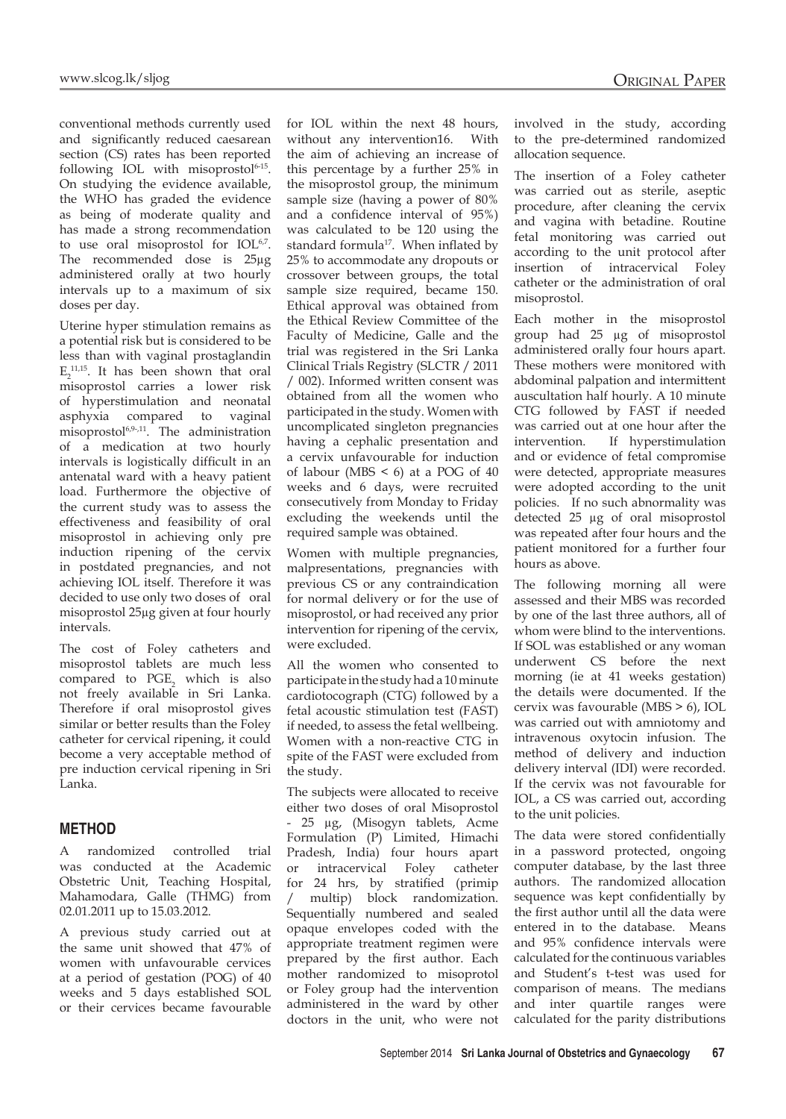conventional methods currently used and significantly reduced caesarean section (CS) rates has been reported following IOL with misoprostol $6-15$ . On studying the evidence available, the WHO has graded the evidence as being of moderate quality and has made a strong recommendation to use oral misoprostol for IOL<sup>6,7</sup>. The recommended dose is 25µg administered orally at two hourly intervals up to a maximum of six doses per day.

Uterine hyper stimulation remains as a potential risk but is considered to be less than with vaginal prostaglandin  $E_2$ <sup>11,15</sup>. It has been shown that oral misoprostol carries a lower risk of hyperstimulation and neonatal asphyxia compared to vaginal misoprostol6,9-,11. The administration of a medication at two hourly intervals is logistically difficult in an antenatal ward with a heavy patient load. Furthermore the objective of the current study was to assess the effectiveness and feasibility of oral misoprostol in achieving only pre induction ripening of the cervix in postdated pregnancies, and not achieving IOL itself. Therefore it was decided to use only two doses of oral misoprostol 25µg given at four hourly intervals.

The cost of Foley catheters and misoprostol tablets are much less compared to  $PGE_2$  which is also not freely available in Sri Lanka. Therefore if oral misoprostol gives similar or better results than the Foley catheter for cervical ripening, it could become a very acceptable method of pre induction cervical ripening in Sri Lanka.

#### **Method**

A randomized controlled trial was conducted at the Academic Obstetric Unit, Teaching Hospital, Mahamodara, Galle (THMG) from 02.01.2011 up to 15.03.2012.

A previous study carried out at the same unit showed that 47% of women with unfavourable cervices at a period of gestation (POG) of 40 weeks and 5 days established SOL or their cervices became favourable for IOL within the next 48 hours, without any intervention16. With the aim of achieving an increase of this percentage by a further 25% in the misoprostol group, the minimum sample size (having a power of 80% and a confidence interval of 95%) was calculated to be 120 using the standard formula<sup>17</sup>. When inflated by 25% to accommodate any dropouts or crossover between groups, the total sample size required, became 150. Ethical approval was obtained from the Ethical Review Committee of the Faculty of Medicine, Galle and the trial was registered in the Sri Lanka Clinical Trials Registry (SLCTR / 2011 / 002). Informed written consent was obtained from all the women who participated in the study. Women with uncomplicated singleton pregnancies having a cephalic presentation and a cervix unfavourable for induction of labour (MBS < 6) at a POG of 40 weeks and 6 days, were recruited consecutively from Monday to Friday excluding the weekends until the required sample was obtained.

Women with multiple pregnancies, malpresentations, pregnancies with previous CS or any contraindication for normal delivery or for the use of misoprostol, or had received any prior intervention for ripening of the cervix, were excluded.

All the women who consented to participate in the study had a 10 minute cardiotocograph (CTG) followed by a fetal acoustic stimulation test (FAST) if needed, to assess the fetal wellbeing. Women with a non-reactive CTG in spite of the FAST were excluded from the study.

The subjects were allocated to receive either two doses of oral Misoprostol - 25 µg, (Misogyn tablets, Acme Formulation (P) Limited, Himachi Pradesh, India) four hours apart or intracervical Foley catheter for 24 hrs, by stratified (primip multip) block randomization. Sequentially numbered and sealed opaque envelopes coded with the appropriate treatment regimen were prepared by the first author. Each mother randomized to misoprotol or Foley group had the intervention administered in the ward by other doctors in the unit, who were not

involved in the study, according to the pre-determined randomized allocation sequence.

The insertion of a Foley catheter was carried out as sterile, aseptic procedure, after cleaning the cervix and vagina with betadine. Routine fetal monitoring was carried out according to the unit protocol after insertion of intracervical Foley catheter or the administration of oral misoprostol.

Each mother in the misoprostol group had 25 µg of misoprostol administered orally four hours apart. These mothers were monitored with abdominal palpation and intermittent auscultation half hourly. A 10 minute CTG followed by FAST if needed was carried out at one hour after the intervention. If hyperstimulation and or evidence of fetal compromise were detected, appropriate measures were adopted according to the unit policies. If no such abnormality was detected 25 µg of oral misoprostol was repeated after four hours and the patient monitored for a further four hours as above.

The following morning all were assessed and their MBS was recorded by one of the last three authors, all of whom were blind to the interventions. If SOL was established or any woman underwent CS before the next morning (ie at 41 weeks gestation) the details were documented. If the cervix was favourable (MBS > 6), IOL was carried out with amniotomy and intravenous oxytocin infusion. The method of delivery and induction delivery interval (IDI) were recorded. If the cervix was not favourable for IOL, a CS was carried out, according to the unit policies.

The data were stored confidentially in a password protected, ongoing computer database, by the last three authors. The randomized allocation sequence was kept confidentially by the first author until all the data were entered in to the database. Means and 95% confidence intervals were calculated for the continuous variables and Student's t-test was used for comparison of means. The medians and inter quartile ranges were calculated for the parity distributions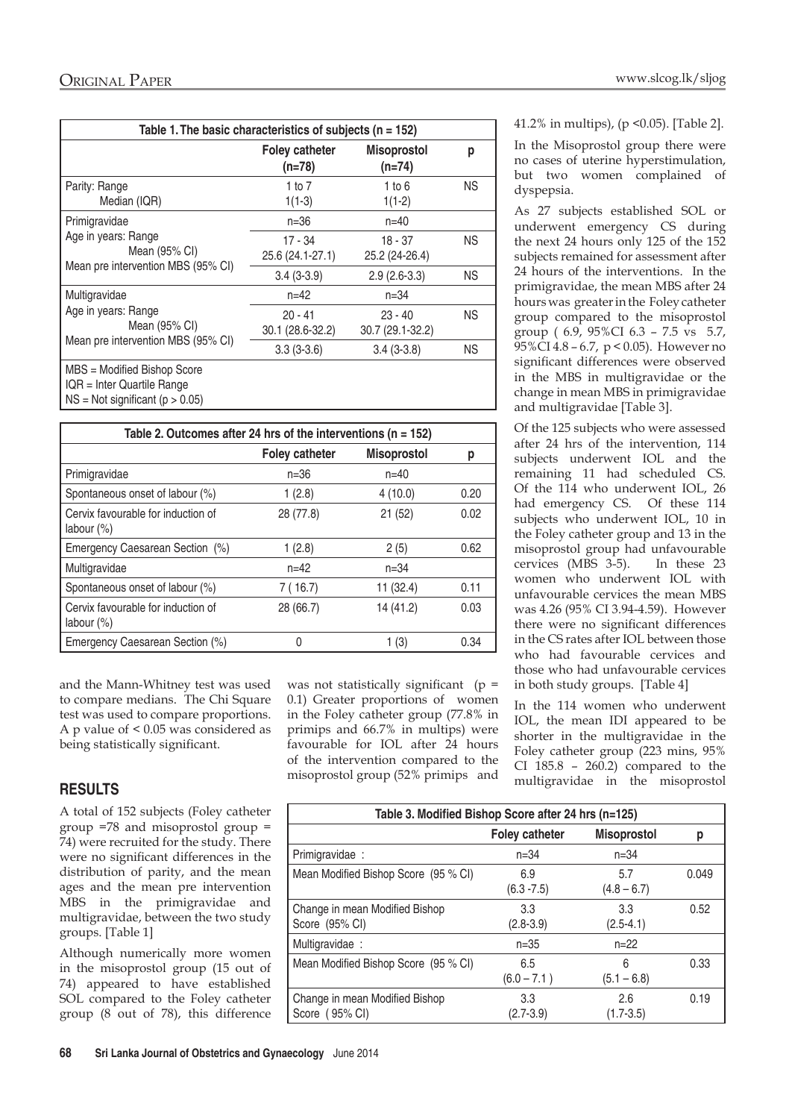| Table 1. The basic characteristics of subjects ( $n = 152$ )                                       |                                   |                                |           |
|----------------------------------------------------------------------------------------------------|-----------------------------------|--------------------------------|-----------|
|                                                                                                    | <b>Foley catheter</b><br>$(n=78)$ | <b>Misoprostol</b><br>$(n=74)$ | р         |
| Parity: Range<br>Median (IQR)                                                                      | 1 to $7$<br>$1(1-3)$              | 1 to $6$<br>$1(1-2)$           | <b>NS</b> |
| Primigravidae<br>Age in years: Range<br>Mean (95% CI)<br>Mean pre intervention MBS (95% CI)        | n=36                              | $n = 40$                       |           |
|                                                                                                    | 17 - 34<br>25.6 (24.1-27.1)       | $18 - 37$<br>25.2 (24-26.4)    | NS.       |
|                                                                                                    | $3.4(3-3.9)$                      | $2.9(2.6-3.3)$                 | NS.       |
| Multigravidae<br>Age in years: Range<br>Mean (95% CI)<br>Mean pre intervention MBS (95% CI)        | $n = 42$                          | $n = 34$                       |           |
|                                                                                                    | $20 - 41$<br>30.1 (28.6-32.2)     | $23 - 40$<br>30.7 (29.1-32.2)  | <b>NS</b> |
|                                                                                                    | $3.3(3-3.6)$                      | $3.4(3-3.8)$                   | <b>NS</b> |
| MBS = Modified Bishop Score<br>IQR = Inter Quartile Range<br>$NS = Not$ significant ( $p > 0.05$ ) |                                   |                                |           |

| Table 2. Outcomes after 24 hrs of the interventions ( $n = 152$ ) |                       |                    |      |
|-------------------------------------------------------------------|-----------------------|--------------------|------|
|                                                                   | <b>Foley catheter</b> | <b>Misoprostol</b> | р    |
| Primigravidae                                                     | $n = 36$              | $n = 40$           |      |
| Spontaneous onset of labour (%)                                   | 1(2.8)                | 4(10.0)            | 0.20 |
| Cervix favourable for induction of<br>labour $(\%)$               | 28 (77.8)             | 21 (52)            | 0.02 |
| Emergency Caesarean Section (%)                                   | 1(2.8)                | 2(5)               | 0.62 |
| Multigravidae                                                     | $n = 42$              | $n = 34$           |      |
| Spontaneous onset of labour (%)                                   | 7 (16.7)              | 11(32.4)           | 0.11 |
| Cervix favourable for induction of<br>labour $(\%)$               | 28 (66.7)             | 14 (41.2)          | 0.03 |
| Emergency Caesarean Section (%)                                   |                       | 1 (3)              | 0.34 |

and the Mann-Whitney test was used to compare medians. The Chi Square test was used to compare proportions. A p value of < 0.05 was considered as being statistically significant.

#### **Results**

A total of 152 subjects (Foley catheter group =78 and misoprostol group = 74) were recruited for the study. There were no significant differences in the distribution of parity, and the mean ages and the mean pre intervention MBS in the primigravidae and multigravidae, between the two study groups. [Table 1]

Although numerically more women in the misoprostol group (15 out of 74) appeared to have established SOL compared to the Foley catheter group (8 out of 78), this difference was not statistically significant ( $p =$ 0.1) Greater proportions of women in the Foley catheter group (77.8% in primips and 66.7% in multips) were favourable for IOL after 24 hours of the intervention compared to the misoprostol group (52% primips and

#### 41.2% in multips), (p <0.05). [Table 2].

In the Misoprostol group there were no cases of uterine hyperstimulation, but two women complained of dyspepsia.

As 27 subjects established SOL or underwent emergency CS during the next 24 hours only 125 of the 152 subjects remained for assessment after 24 hours of the interventions. In the primigravidae, the mean MBS after 24 hours was greater in the Foley catheter group compared to the misoprostol group ( 6.9, 95%CI 6.3 – 7.5 vs 5.7, 95%CI 4.8 – 6.7, p < 0.05). However no significant differences were observed in the MBS in multigravidae or the change in mean MBS in primigravidae and multigravidae [Table 3].

Of the 125 subjects who were assessed after 24 hrs of the intervention, 114 subjects underwent IOL and the remaining 11 had scheduled CS. Of the 114 who underwent IOL, 26 had emergency CS. Of these 114 subjects who underwent IOL, 10 in the Foley catheter group and 13 in the misoprostol group had unfavourable cervices (MBS 3-5). In these 23 women who underwent IOL with unfavourable cervices the mean MBS was 4.26 (95% CI 3.94-4.59). However there were no significant differences in the CS rates after IOL between those who had favourable cervices and those who had unfavourable cervices in both study groups. [Table 4]

In the 114 women who underwent IOL, the mean IDI appeared to be shorter in the multigravidae in the Foley catheter group (223 mins, 95% CI 185.8 – 260.2) compared to the multigravidae in the misoprostol

| Table 3. Modified Bishop Score after 24 hrs (n=125) |                       |                      |       |
|-----------------------------------------------------|-----------------------|----------------------|-------|
|                                                     | <b>Foley catheter</b> | <b>Misoprostol</b>   | р     |
| Primigravidae:                                      | $n = 34$              | $n = 34$             |       |
| Mean Modified Bishop Score (95 % CI)                | 6.9<br>$(6.3 - 7.5)$  | 5.7<br>$(4.8 - 6.7)$ | 0.049 |
| Change in mean Modified Bishop<br>Score (95% CI)    | 3.3<br>$(2.8 - 3.9)$  | 3.3<br>$(2.5 - 4.1)$ | 0.52  |
| Multigravidae :                                     | $n = 35$              | $n = 22$             |       |
| Mean Modified Bishop Score (95 % CI)                | 6.5<br>$(6.0 - 7.1)$  | 6<br>$(5.1 - 6.8)$   | 0.33  |
| Change in mean Modified Bishop<br>Score (95% CI)    | 3.3<br>$(2.7 - 3.9)$  | 2.6<br>$(1.7 - 3.5)$ | 0.19  |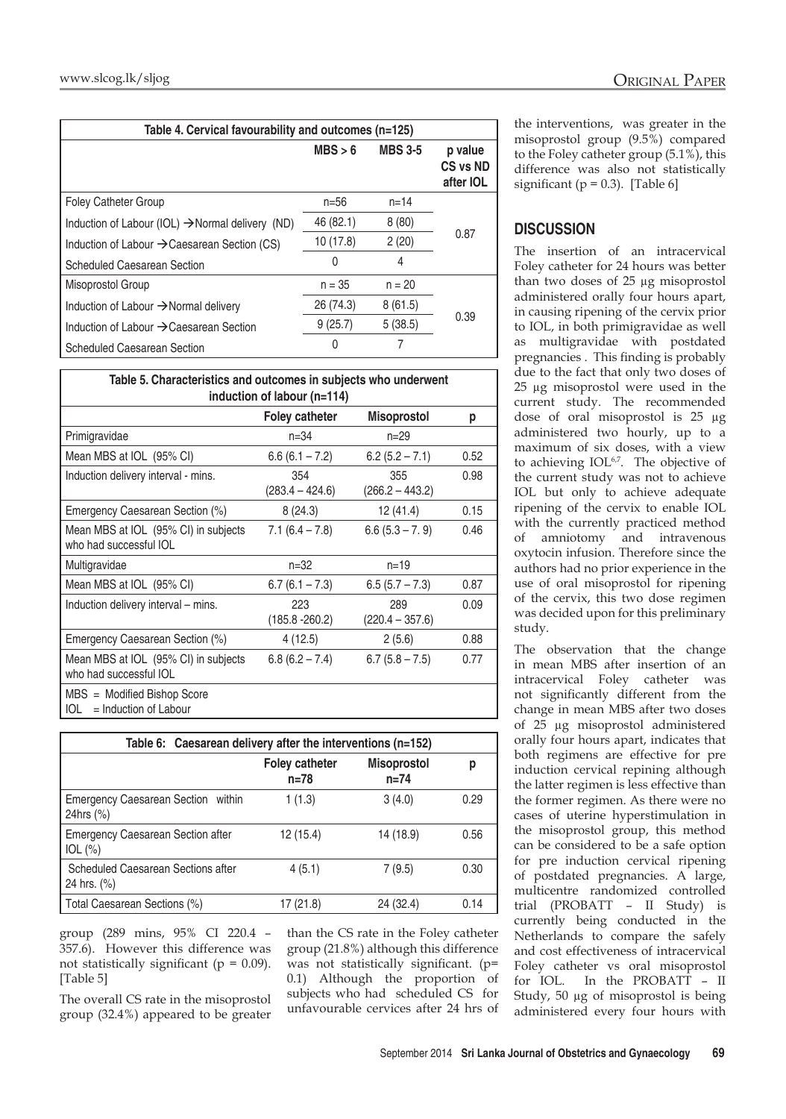| Table 4. Cervical favourability and outcomes (n=125)         |           |                |                                         |
|--------------------------------------------------------------|-----------|----------------|-----------------------------------------|
|                                                              | MBS > 6   | <b>MBS 3-5</b> | p value<br>CS vs ND<br>after <b>IOL</b> |
| <b>Foley Catheter Group</b>                                  | $n = 56$  | $n = 14$       |                                         |
| Induction of Labour (IOL) $\rightarrow$ Normal delivery (ND) | 46 (82.1) | 8(80)          |                                         |
| Induction of Labour $\rightarrow$ Caesarean Section (CS)     | 10 (17.8) | 2(20)          | 0.87                                    |
| Scheduled Caesarean Section                                  | 0         | 4              |                                         |
| Misoprostol Group                                            | $n = 35$  | $n = 20$       |                                         |
| Induction of Labour $\rightarrow$ Normal delivery            | 26 (74.3) | 8(61.5)        |                                         |
| Induction of Labour $\rightarrow$ Caesarean Section          | 9(25.7)   | 5(38.5)        | 0.39                                    |
| <b>Scheduled Caesarean Section</b>                           |           |                |                                         |

| Table 5. Characteristics and outcomes in subjects who underwent<br>induction of labour (n=114) |                          |                          |      |
|------------------------------------------------------------------------------------------------|--------------------------|--------------------------|------|
|                                                                                                | <b>Foley catheter</b>    | <b>Misoprostol</b>       | р    |
| Primigravidae                                                                                  | $n = 34$                 | $n = 29$                 |      |
| Mean MBS at IOL (95% CI)                                                                       | $6.6(6.1 - 7.2)$         | $6.2(5.2 - 7.1)$         | 0.52 |
| Induction delivery interval - mins.                                                            | 354<br>$(283.4 - 424.6)$ | 355<br>$(266.2 - 443.2)$ | 0.98 |
| Emergency Caesarean Section (%)                                                                | 8(24.3)                  | 12 (41.4)                | 0.15 |
| Mean MBS at IOL (95% CI) in subjects<br>who had successful IOL                                 | $7.1(6.4 - 7.8)$         | $6.6(5.3 - 7.9)$         | 0.46 |
| Multigravidae                                                                                  | $n = 32$                 | $n = 19$                 |      |
| Mean MBS at IOL (95% CI)                                                                       | $6.7(6.1 - 7.3)$         | $6.5(5.7 - 7.3)$         | 0.87 |
| Induction delivery interval – mins.                                                            | 223<br>$(185.8 - 260.2)$ | 289<br>$(220.4 - 357.6)$ | 0.09 |
| Emergency Caesarean Section (%)                                                                | 4 (12.5)                 | 2(5.6)                   | 0.88 |
| Mean MBS at IOL (95% CI) in subjects<br>who had successful IOL                                 | $6.8(6.2 - 7.4)$         | $6.7(5.8 - 7.5)$         | 0.77 |
| MBS = Modified Bishop Score<br>$=$ Induction of Labour<br>IOL                                  |                          |                          |      |

| Table 6: Caesarean delivery after the interventions (n=152) |                                 |                                |      |
|-------------------------------------------------------------|---------------------------------|--------------------------------|------|
|                                                             | <b>Foley catheter</b><br>$n=78$ | <b>Misoprostol</b><br>$n = 74$ | р    |
| Emergency Caesarean Section within<br>24hrs (%)             | 1(1.3)                          | 3(4.0)                         | 0.29 |
| <b>Emergency Caesarean Section after</b><br>$IOL (\%)$      | 12 (15.4)                       | 14 (18.9)                      | 0.56 |
| Scheduled Caesarean Sections after<br>24 hrs. (%)           | 4(5.1)                          | 7(9.5)                         | 0.30 |
| Total Caesarean Sections (%)                                | 17 (21.8)                       | 24 (32.4)                      | 0.14 |

group (289 mins, 95% CI 220.4 – 357.6). However this difference was not statistically significant ( $p = 0.09$ ). [Table 5]

The overall CS rate in the misoprostol group (32.4%) appeared to be greater

than the CS rate in the Foley catheter group (21.8%) although this difference was not statistically significant. (p= 0.1) Although the proportion of subjects who had scheduled CS for unfavourable cervices after 24 hrs of

the interventions, was greater in the misoprostol group (9.5%) compared to the Foley catheter group (5.1%), this difference was also not statistically significant ( $p = 0.3$ ). [Table 6]

### **Discussion**

The insertion of an intracervical Foley catheter for 24 hours was better than two doses of 25 µg misoprostol administered orally four hours apart, in causing ripening of the cervix prior to IOL, in both primigravidae as well as multigravidae with postdated pregnancies . This finding is probably due to the fact that only two doses of 25 µg misoprostol were used in the current study. The recommended dose of oral misoprostol is 25 µg administered two hourly, up to a maximum of six doses, with a view to achieving IOL<sup>6,7</sup>. The objective of the current study was not to achieve IOL but only to achieve adequate ripening of the cervix to enable IOL with the currently practiced method of amniotomy and intravenous oxytocin infusion. Therefore since the authors had no prior experience in the use of oral misoprostol for ripening of the cervix, this two dose regimen was decided upon for this preliminary study.

The observation that the change in mean MBS after insertion of an intracervical Foley catheter was not significantly different from the change in mean MBS after two doses of 25 µg misoprostol administered orally four hours apart, indicates that both regimens are effective for pre induction cervical repining although the latter regimen is less effective than the former regimen. As there were no cases of uterine hyperstimulation in the misoprostol group, this method can be considered to be a safe option for pre induction cervical ripening of postdated pregnancies. A large, multicentre randomized controlled trial (PROBATT – II Study) is currently being conducted in the Netherlands to compare the safely and cost effectiveness of intracervical Foley catheter vs oral misoprostol for IOL. In the PROBATT – II Study, 50 µg of misoprostol is being administered every four hours with